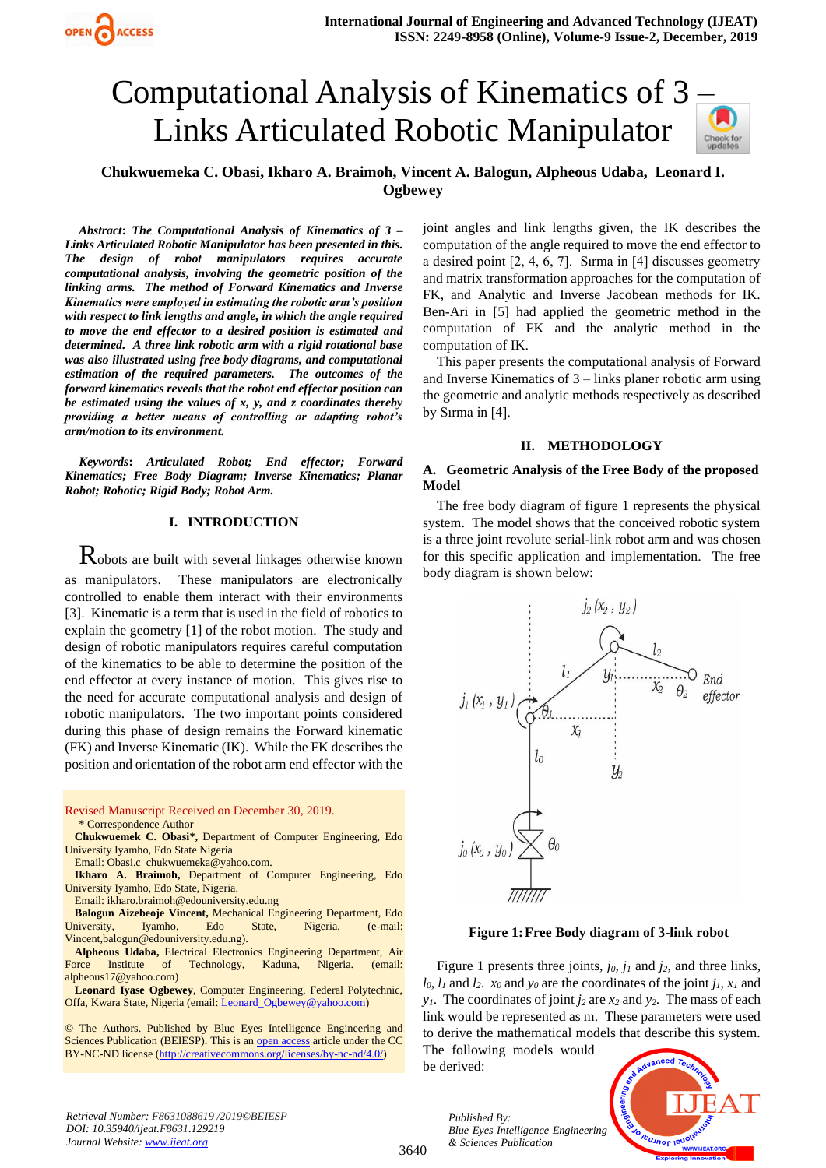# Computational Analysis of Kinematics of 3 [–](https://crossmark.crossref.org/dialog/?doi=10.35940/ijeat.F8631.129219&domain=www.ijeat.org) Links Articulated Robotic Manipulator



# **Chukwuemeka C. Obasi, Ikharo A. Braimoh, Vincent A. Balogun, Alpheous Udaba, Leonard I. Ogbewey**

*Abstract***:** *The Computational Analysis of Kinematics of 3 – Links Articulated Robotic Manipulator has been presented in this. The design of robot manipulators requires accurate computational analysis, involving the geometric position of the linking arms. The method of Forward Kinematics and Inverse Kinematics were employed in estimating the robotic arm's position with respect to link lengths and angle, in which the angle required to move the end effector to a desired position is estimated and determined. A three link robotic arm with a rigid rotational base was also illustrated using free body diagrams, and computational estimation of the required parameters. The outcomes of the forward kinematics reveals that the robot end effector position can be estimated using the values of x, y, and z coordinates thereby providing a better means of controlling or adapting robot's arm/motion to its environment.*

*Keywords***:** *Articulated Robot; End effector; Forward Kinematics; Free Body Diagram; Inverse Kinematics; Planar Robot; Robotic; Rigid Body; Robot Arm.* 

## **I. INTRODUCTION**

Robots are built with several linkages otherwise known as manipulators. These manipulators are electronically controlled to enable them interact with their environments [3]. Kinematic is a term that is used in the field of robotics to explain the geometry [1] of the robot motion. The study and design of robotic manipulators requires careful computation of the kinematics to be able to determine the position of the end effector at every instance of motion. This gives rise to the need for accurate computational analysis and design of robotic manipulators. The two important points considered during this phase of design remains the Forward kinematic (FK) and Inverse Kinematic (IK). While the FK describes the position and orientation of the robot arm end effector with the

Revised Manuscript Received on December 30, 2019. \* Correspondence Author

**Chukwuemek C. Obasi\*,** Department of Computer Engineering, Edo University Iyamho, Edo State Nigeria.

Email: Obasi.c\_chukwuemeka@yahoo.com.

**Ikharo A. Braimoh,** Department of Computer Engineering, Edo University Iyamho, Edo State, Nigeria.

Email: ikharo.braimoh@edouniversity.edu.ng

**Balogun Aizebeoje Vincent,** Mechanical Engineering Department, Edo University, Iyamho, Edo State, Nigeria, (e-mail: Vincent,balogun@edouniversity.edu.ng).

**Alpheous Udaba,** Electrical Electronics Engineering Department, Air Force Institute of Technology, Kaduna, Nigeria. (email: alpheous17@yahoo.com)

**Leonard Iyase Ogbewey**, Computer Engineering, Federal Polytechnic, Offa, Kwara State, Nigeria (email[: Leonard\\_Ogbewey@yahoo.com\)](mailto:Leonard_Ogbewey@yahoo.com)

© The Authors. Published by Blue Eyes Intelligence Engineering and Sciences Publication (BEIESP). This is a[n open access](https://www.openaccess.nl/en/open-publications) article under the CC BY-NC-ND license [\(http://creativecommons.org/licenses/by-nc-nd/4.0/\)](http://creativecommons.org/licenses/by-nc-nd/4.0/)

*Retrieval Number: F8631088619 /2019©BEIESP DOI: 10.35940/ijeat.F8631.129219 Journal Website[: www.ijeat.org](http://www.ijeat.org/)*

joint angles and link lengths given, the IK describes the computation of the angle required to move the end effector to a desired point [2, 4, 6, 7]. Sırma in [4] discusses geometry and matrix transformation approaches for the computation of FK, and Analytic and Inverse Jacobean methods for IK. Ben-Ari in [5] had applied the geometric method in the computation of FK and the analytic method in the computation of IK.

This paper presents the computational analysis of Forward and Inverse Kinematics of 3 – links planer robotic arm using the geometric and analytic methods respectively as described by Sırma in [4].

#### **II. METHODOLOGY**

#### **A. Geometric Analysis of the Free Body of the proposed Model**

The free body diagram of figure 1 represents the physical system. The model shows that the conceived robotic system is a three joint revolute serial-link robot arm and was chosen for this specific application and implementation. The free body diagram is shown below:



**Figure 1:Free Body diagram of 3-link robot**

Figure 1 presents three joints, *j0*, *j<sup>1</sup>* and *j2*, and three links,  $l_0$ ,  $l_1$  and  $l_2$ .  $x_0$  and  $y_0$  are the coordinates of the joint  $j_1$ ,  $x_1$  and *y*<sub>1</sub>. The coordinates of joint  $j_2$  are  $x_2$  and  $y_2$ . The mass of each link would be represented as m. These parameters were used to derive the mathematical models that describe this system.

The following models would be derived:

3640



*Published By: Blue Eyes Intelligence Engineering & Sciences Publication*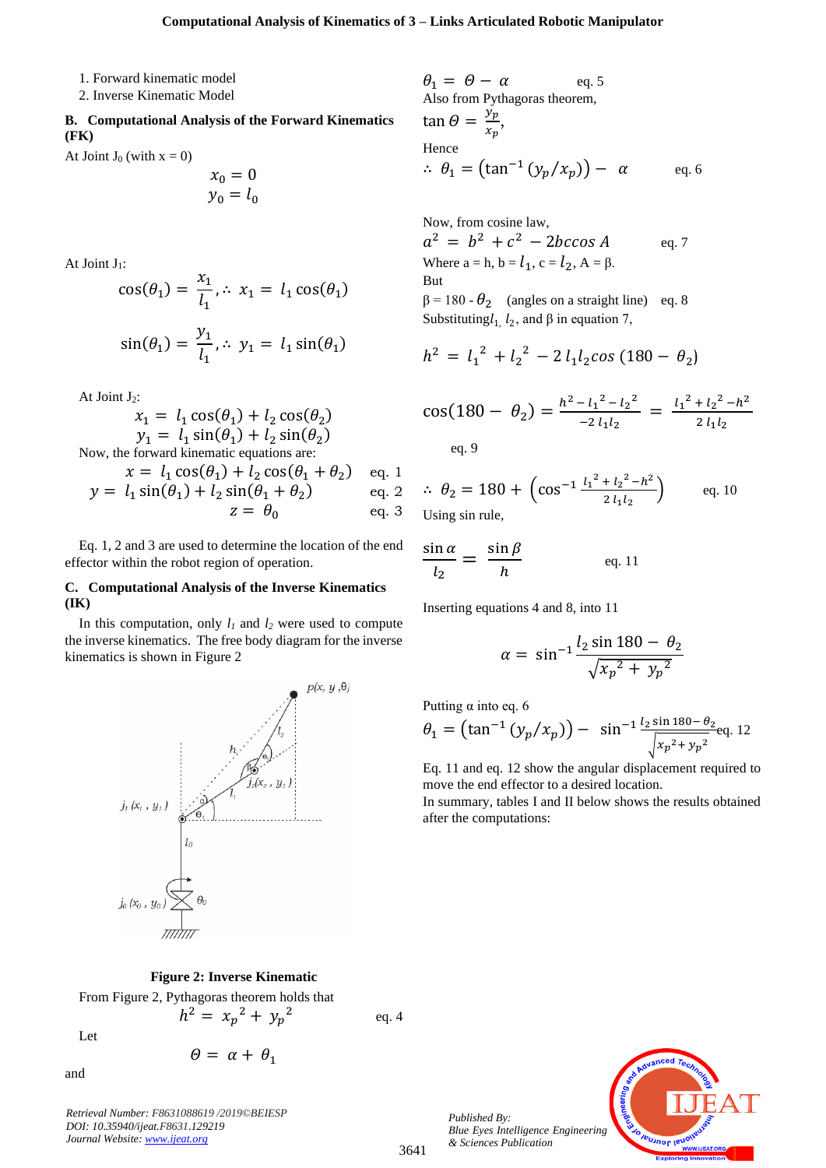1. Forward kinematic model

2. Inverse Kinematic Model

**B. Computational Analysis of the Forward Kinematics (FK)**

At Joint  $J_0$  (with  $x = 0$ )

$$
\begin{array}{c}\nx_0 = 0 \\
y_0 = l_0\n\end{array}
$$

At Joint  $J_1$ :

$$
\cos(\theta_1) = \frac{x_1}{l_1}, \therefore x_1 = l_1 \cos(\theta_1)
$$
  

$$
\sin(\theta_1) = \frac{y_1}{l_1}, \therefore y_1 = l_1 \sin(\theta_1)
$$

At Joint  $J_2$ :

$$
x_1 = l_1 \cos(\theta_1) + l_2 \cos(\theta_2)
$$
  
\n
$$
y_1 = l_1 \sin(\theta_1) + l_2 \sin(\theta_2)
$$
  
\nNow, the forward kinematic equations are:  
\n
$$
x = l_1 \cos(\theta_1) + l_2 \cos(\theta_1 + \theta_2)
$$
eq. 1  
\n
$$
y = l_1 \sin(\theta_1) + l_2 \sin(\theta_1 + \theta_2)
$$
eq. 2  
\n
$$
z = \theta_0
$$
eq. 3

Eq. 1, 2 and 3 are used to determine the location of the end effector within the robot region of operation.

#### **C. Computational Analysis of the Inverse Kinematics (IK)**

In this computation, only  $l_1$  and  $l_2$  were used to compute the inverse kinematics. The free body diagram for the inverse kinematics is shown in Figure 2



#### **Figure 2: Inverse Kinematic**

From Figure 2, Pythagoras theorem holds that

 $h^2 = x_p^2 + y_p^2$ 

Let

$$
\theta = \alpha + \theta_1
$$

and

*Retrieval Number: F8631088619 /2019©BEIESP DOI: 10.35940/ijeat.F8631.129219 Journal Website[: www.ijeat.org](http://www.ijeat.org/)*

$$
\theta_1 = \theta - \alpha \qquad \text{eq. 5}
$$
  
Also from Pythagoras theorem,  

$$
\tan \theta = \frac{y_p}{x_p},
$$
  
Hence  

$$
\therefore \theta_1 = (\tan^{-1} (y_p / x_p)) - \alpha \qquad \text{eq. 6}
$$

Now, from cosine law,  $a^2 = b^2 + c^2 - 2bc \cos A$  eq. 7 Where  $a = h$ ,  $b = l_1$ ,  $c = l_2$ ,  $A = \beta$ . But  $\beta = 180 - \theta_2$  (angles on a straight line) eq. 8 Substituting $l_1$ ,  $l_2$ , and  $\beta$  in equation 7,

 $h^2 = l_1^2 + l_2^2 - 2 l_1 l_2 cos (180 - \theta_2)$ 

$$
\cos(180 - \theta_2) = \frac{h^2 - l_1^2 - l_2^2}{-2 l_1 l_2} = \frac{l_1^2 + l_2^2 - h^2}{2 l_1 l_2}
$$
  
eq. 9

$$
\therefore \theta_2 = 180 + \left(\cos^{-1} \frac{l_1^2 + l_2^2 - h^2}{2 l_1 l_2}\right) \qquad \text{eq. 10}
$$
  
Using sin rule,

$$
\frac{\sin \alpha}{l_2} = \frac{\sin \beta}{h} \qquad \text{eq. 11}
$$

Inserting equations 4 and 8, into 11

$$
\alpha = \sin^{-1} \frac{l_2 \sin 180 - \theta_2}{\sqrt{{x_p}^2 + {y_p}^2}}
$$

Putting  $\alpha$  into eq. 6

$$
\theta_1 = \left(\tan^{-1}\left(y_p/x_p\right)\right) - \sin^{-1}\frac{l_2\sin 180 - \theta_2}{\sqrt{x_p^2 + y_p^2}}\text{eq. 12}
$$

Eq. 11 and eq. 12 show the angular displacement required to move the end effector to a desired location.

In summary, tables I and II below shows the results obtained after the computations:



*Published By: Blue Eyes Intelligence Engineering & Sciences Publication* 

eq. 4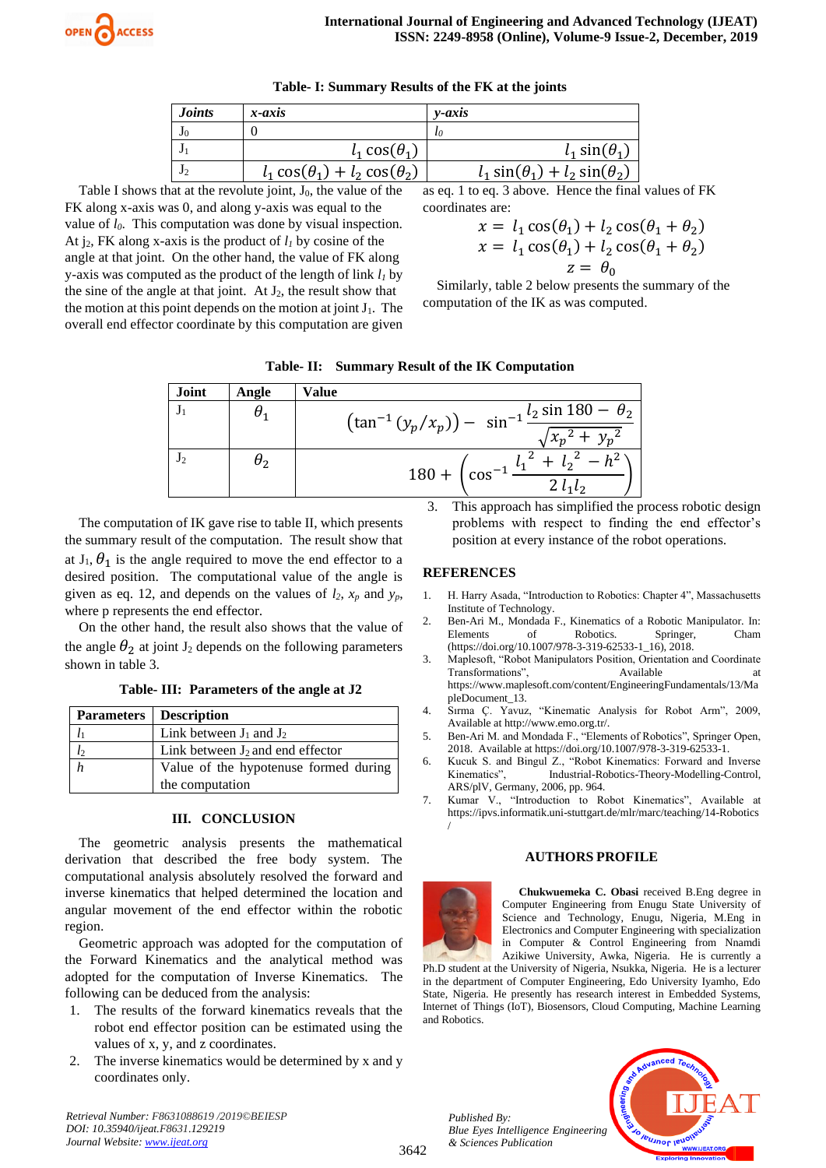

| <b>Joints</b> | x-axis                                    | $v$ -axis                                 |
|---------------|-------------------------------------------|-------------------------------------------|
|               |                                           | tο                                        |
|               | $l_1 \cos(\theta_1)$                      | $l_1 \sin(\theta_1)$                      |
|               | $l_1 \cos(\theta_1) + l_2 \cos(\theta_2)$ | $l_1 \sin(\theta_1) + l_2 \sin(\theta_2)$ |

**Table- I: Summary Results of the FK at the joints**

Table I shows that at the revolute joint,  $J_0$ , the value of the FK along x-axis was 0, and along y-axis was equal to the value of *l0*. This computation was done by visual inspection. At  $i_2$ , FK along x-axis is the product of  $l_1$  by cosine of the angle at that joint. On the other hand, the value of FK along y-axis was computed as the product of the length of link *l<sup>1</sup>* by the sine of the angle at that joint. At  $J_2$ , the result show that the motion at this point depends on the motion at joint  $J_1$ . The overall end effector coordinate by this computation are given

as eq. 1 to eq. 3 above. Hence the final values of FK coordinates are:

$$
x = l_1 \cos(\theta_1) + l_2 \cos(\theta_1 + \theta_2)
$$
  

$$
x = l_1 \cos(\theta_1) + l_2 \cos(\theta_1 + \theta_2)
$$
  

$$
z = \theta_0
$$

Similarly, table 2 below presents the summary of the computation of the IK as was computed.



| Joint | Angle      | Value                                                                                             |
|-------|------------|---------------------------------------------------------------------------------------------------|
|       | $\theta_1$ | $(\tan^{-1}(y_p/x_p)) - \sin^{-1}\frac{l_2 \sin 180 - \theta_2}{\sqrt{1 - \frac{l_2}{l_2}l_1^2}}$ |
|       |            | $\sqrt{{x_n}^2+{y_n}^2}$                                                                          |
| J٥    | $\theta_2$ | $180 + \left(\cos^{-1}\frac{l_1^2 + l_2^2 - l_1^2}{l_1^2 + l_2^2 - l_1^2}\right)$                 |
|       |            |                                                                                                   |

The computation of IK gave rise to table II, which presents the summary result of the computation. The result show that at  $J_1$ ,  $\theta_1$  is the angle required to move the end effector to a desired position. The computational value of the angle is given as eq. 12, and depends on the values of  $l_2$ ,  $x_p$  and  $y_p$ , where p represents the end effector.

On the other hand, the result also shows that the value of the angle  $\theta_2$  at joint J<sub>2</sub> depends on the following parameters shown in table 3.

**Table- III: Parameters of the angle at J2**

| <b>Parameters</b>   Description       |
|---------------------------------------|
| Link between $J_1$ and $J_2$          |
| Link between $J_2$ and end effector   |
| Value of the hypotenuse formed during |
| the computation                       |

### **III. CONCLUSION**

The geometric analysis presents the mathematical derivation that described the free body system. The computational analysis absolutely resolved the forward and inverse kinematics that helped determined the location and angular movement of the end effector within the robotic region.

Geometric approach was adopted for the computation of the Forward Kinematics and the analytical method was adopted for the computation of Inverse Kinematics. The following can be deduced from the analysis:

- 1. The results of the forward kinematics reveals that the robot end effector position can be estimated using the values of x, y, and z coordinates.
- 2. The inverse kinematics would be determined by x and y coordinates only.

*Retrieval Number: F8631088619 /2019©BEIESP DOI: 10.35940/ijeat.F8631.129219 Journal Website[: www.ijeat.org](http://www.ijeat.org/)*

3. This approach has simplified the process robotic design problems with respect to finding the end effector's position at every instance of the robot operations.

# **REFERENCES**

- 1. H. Harry Asada, "Introduction to Robotics: Chapter 4", Massachusetts Institute of Technology.
- 2. Ben-Ari M., Mondada F., Kinematics of a Robotic Manipulator. In: Elements of Robotics. Springer, Cham (https://doi.org/10.1007/978-3-319-62533-1\_16), 2018.
- 3. Maplesoft, "Robot Manipulators Position, Orientation and Coordinate Transformations", Available https://www.maplesoft.com/content/EngineeringFundamentals/13/Ma pleDocument\_13.
- 4. Sırma Ç. Yavuz, "Kinematic Analysis for Robot Arm", 2009, Available at http://www.emo.org.tr/.
- 5. Ben-Ari M. and Mondada F., "Elements of Robotics", Springer Open, 2018. Available at https://doi.org/10.1007/978-3-319-62533-1.
- 6. Kucuk S. and Bingul Z., "Robot Kinematics: Forward and Inverse Kinematics", Industrial-Robotics-Theory-Modelling-Control, ARS/plV, Germany, 2006, pp. 964.
- 7. Kumar V., "Introduction to Robot Kinematics", Available at https://ipvs.informatik.uni-stuttgart.de/mlr/marc/teaching/14-Robotics /

# **AUTHORS PROFILE**



**Chukwuemeka C. Obasi** received B.Eng degree in Computer Engineering from Enugu State University of Science and Technology, Enugu, Nigeria, M.Eng in Electronics and Computer Engineering with specialization in Computer & Control Engineering from Nnamdi Azikiwe University, Awka, Nigeria. He is currently a

Ph.D student at the University of Nigeria, Nsukka, Nigeria. He is a lecturer in the department of Computer Engineering, Edo University Iyamho, Edo State, Nigeria. He presently has research interest in Embedded Systems, Internet of Things (IoT), Biosensors, Cloud Computing, Machine Learning and Robotics.

*Published By: Blue Eyes Intelligence Engineering & Sciences Publication*